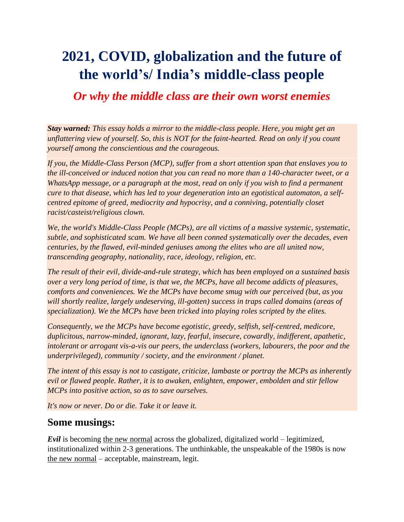# **2021, COVID, globalization and the future of the world's/ India's middle-class people**

# *Or why the middle class are their own worst enemies*

*Stay warned: This essay holds a mirror to the middle-class people. Here, you might get an unflattering view of yourself. So, this is NOT for the faint-hearted. Read on only if you count yourself among the conscientious and the courageous.* 

*If you, the Middle-Class Person (MCP), suffer from a short attention span that enslaves you to the ill-conceived or induced notion that you can read no more than a 140-character tweet, or a WhatsApp message, or a paragraph at the most, read on only if you wish to find a permanent cure to that disease, which has led to your degeneration into an egotistical automaton, a selfcentred epitome of greed, mediocrity and hypocrisy, and a conniving, potentially closet racist/casteist/religious clown.*

*We, the world's Middle-Class People (MCPs), are all victims of a massive systemic, systematic, subtle, and sophisticated scam. We have all been conned systematically over the decades, even centuries, by the flawed, evil-minded geniuses among the elites who are all united now, transcending geography, nationality, race, ideology, religion, etc.* 

*The result of their evil, divide-and-rule strategy, which has been employed on a sustained basis over a very long period of time, is that we, the MCPs, have all become addicts of pleasures, comforts and conveniences. We the MCPs have become smug with our perceived (but, as you will shortly realize, largely undeserving, ill-gotten) success in traps called domains (areas of specialization). We the MCPs have been tricked into playing roles scripted by the elites.*

*Consequently, we the MCPs have become egotistic, greedy, selfish, self-centred, medicore, duplicitous, narrow-minded, ignorant, lazy, fearful, insecure, cowardly, indifferent, apathetic, intolerant or arrogant vis-a-vis our peers, the underclass (workers, labourers, the poor and the underprivileged), community / society, and the environment / planet.*

*The intent of this essay is not to castigate, criticize, lambaste or portray the MCPs as inherently evil or flawed people. Rather, it is to awaken, enlighten, empower, embolden and stir fellow MCPs into positive action, so as to save ourselves.* 

*It's now or never. Do or die. Take it or leave it.*

# **Some musings:**

*Evil* is becoming the new normal across the globalized, digitalized world – legitimized, institutionalized within 2-3 generations. The unthinkable, the unspeakable of the 1980s is now the new normal – acceptable, mainstream, legit.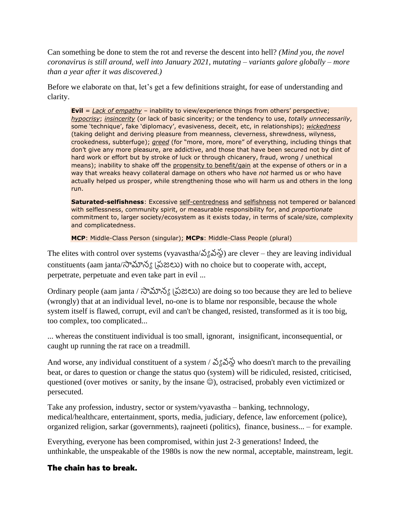Can something be done to stem the rot and reverse the descent into hell? *(Mind you, the novel coronavirus is still around, well into January 2021, mutating – variants galore globally – more than a year after it was discovered.)*

Before we elaborate on that, let's get a few definitions straight, for ease of understanding and clarity.

**Evil** = *Lack of empathy* – inability to view/experience things from others' perspective; *hypocrisy*; *insincerity* (or lack of basic sincerity; or the tendency to use, *totally unnecessarily*, some 'technique', fake 'diplomacy', evasiveness, deceit, etc, in relationships); *wickedness* (taking delight and deriving pleasure from meanness, cleverness, shrewdness, wilyness, crookedness, subterfuge); *greed* (for "more, more, more" of everything, including things that don't give any more pleasure, are addictive, and those that have been secured not by dint of hard work or effort but by stroke of luck or through chicanery, fraud, wrong / unethical means); inability to shake off the propensity to benefit/gain at the expense of others or in a way that wreaks heavy collateral damage on others who have *not* harmed us or who have actually helped us prosper, while strengthening those who will harm us and others in the long run.

**Saturated-selfishness**: Excessive self-centredness and selfishness not tempered or balanced with selflessness, community spirit, or measurable responsibility for, and *proportionate* commitment to, larger society/ecosystem as it exists today, in terms of scale/size, complexity and complicatedness.

**MCP**: Middle-Class Person (singular); **MCPs**: Middle-Class People (plural)

The elites with control over systems (vyavastha/ $\delta$  $\delta\delta\phi$ ) are clever – they are leaving individual constituents (aam janta/సామాన్య ప్రజలు) with no choice but to cooperate with, accept, perpetrate, perpetuate and even take part in evil ...

Ordinary people (aam janta / సామాన్య ప్రజలు) are doing so too because they are led to believe (wrongly) that at an individual level, no-one is to blame nor responsible, because the whole system itself is flawed, corrupt, evil and can't be changed, resisted, transformed as it is too big, too complex, too complicated...

... whereas the constituent individual is too small, ignorant, insignificant, inconsequential, or caught up running the rat race on a treadmill.

And worse, any individual constituent of a system /  $\Im \S$   $\Im \S$  who doesn't march to the prevailing beat, or dares to question or change the status quo (system) will be ridiculed, resisted, criticised, questioned (over motives or sanity, by the insane  $\circledcirc$ ), ostracised, probably even victimized or persecuted.

Take any profession, industry, sector or system/vyavastha – banking, technnology, medical/healthcare, entertainment, sports, media, judiciary, defence, law enforcement (police), organized religion, sarkar (governments), raajneeti (politics), finance, business... – for example.

Everything, everyone has been compromised, within just 2-3 generations! Indeed, the unthinkable, the unspeakable of the 1980s is now the new normal, acceptable, mainstream, legit.

## The chain has to break.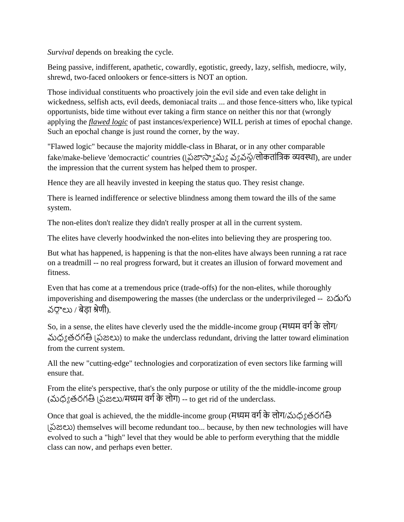*Survival* depends on breaking the cycle.

Being passive, indifferent, apathetic, cowardly, egotistic, greedy, lazy, selfish, mediocre, wily, shrewd, two-faced onlookers or fence-sitters is NOT an option.

Those individual constituents who proactively join the evil side and even take delight in wickedness, selfish acts, evil deeds, demoniacal traits ... and those fence-sitters who, like typical opportunists, bide time without ever taking a firm stance on neither this nor that (wrongly applying the *flawed logic* of past instances/experience) WILL perish at times of epochal change. Such an epochal change is just round the corner, by the way.

"Flawed logic" because the majority middle-class in Bharat, or in any other comparable fake/make-believe 'democractic' countries ((ప్రజాస్యామ్య వ్యవస్థ/लोकतांत्रिक व्यवस्था), are under the impression that the current system has helped them to prosper.

Hence they are all heavily invested in keeping the status quo. They resist change.

There is learned indifference or selective blindness among them toward the ills of the same system.

The non-elites don't realize they didn't really prosper at all in the current system.

The elites have cleverly hoodwinked the non-elites into believing they are prospering too.

But what has happened, is happening is that the non-elites have always been running a rat race on a treadmill -- no real progress forward, but it creates an illusion of forward movement and fitness.

Even that has come at a tremendous price (trade-offs) for the non-elites, while thoroughly impoverishing and disempowering the masses (the underclass or the underprivileged -- బడుగు  $\Delta \nabla \cdot \Delta \nabla \cdot \vec{\Delta}$ वेडा श्रेणी).

So, in a sense, the elites have cleverly used the the middle-income group (मध्यम वर्गके लोर्/ మ్ధ్య తరగతి ప్రజలు) to make the underclass redundant, driving the latter toward elimination from the current system.

All the new "cutting-edge" technologies and corporatization of even sectors like farming will ensure that.

From the elite's perspective, that's the only purpose or utility of the the middle-income group (మ్ధ్య తరగతి ప్రజలు/मध्यम वर्गके लोर्) -- to get rid of the underclass.

Once that goal is achieved, the the middle-income group (मध्यम वर्गके लोर्/మ్ధ్య తరగతి ప్రజలు) themselves will become redundant too... because, by then new technologies will have evolved to such a "high" level that they would be able to perform everything that the middle class can now, and perhaps even better.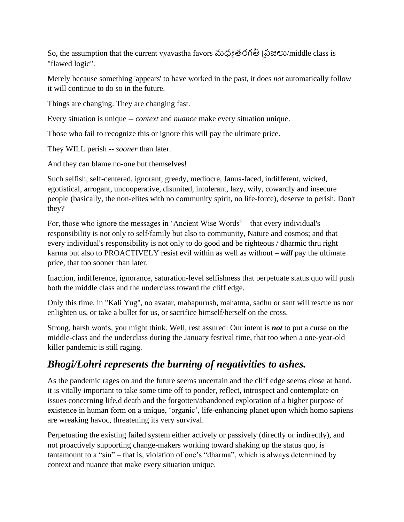So, the assumption that the current vyavastha favors మ్ధ్య తరగతి ప్రజలు/middle class is "flawed logic".

Merely because something 'appears' to have worked in the past, it does *not* automatically follow it will continue to do so in the future.

Things are changing. They are changing fast.

Every situation is unique -- *context* and *nuance* make every situation unique.

Those who fail to recognize this or ignore this will pay the ultimate price.

They WILL perish -- *sooner* than later.

And they can blame no-one but themselves!

Such selfish, self-centered, ignorant, greedy, mediocre, Janus-faced, indifferent, wicked, egotistical, arrogant, uncooperative, disunited, intolerant, lazy, wily, cowardly and insecure people (basically, the non-elites with no community spirit, no life-force), deserve to perish. Don't they?

For, those who ignore the messages in 'Ancient Wise Words' – that every individual's responsibility is not only to self/family but also to community, Nature and cosmos; and that every individual's responsibility is not only to do good and be righteous / dharmic thru right karma but also to PROACTIVELY resist evil within as well as without – *will* pay the ultimate price, that too sooner than later.

Inaction, indifference, ignorance, saturation-level selfishness that perpetuate status quo will push both the middle class and the underclass toward the cliff edge.

Only this time, in "Kali Yug", no avatar, mahapurush, mahatma, sadhu or sant will rescue us nor enlighten us, or take a bullet for us, or sacrifice himself/herself on the cross.

Strong, harsh words, you might think. Well, rest assured: Our intent is *not* to put a curse on the middle-class and the underclass during the January festival time, that too when a one-year-old killer pandemic is still raging.

# *Bhogi/Lohri represents the burning of negativities to ashes.*

As the pandemic rages on and the future seems uncertain and the cliff edge seems close at hand, it is vitally important to take some time off to ponder, reflect, introspect and contemplate on issues concerning life,d death and the forgotten/abandoned exploration of a higher purpose of existence in human form on a unique, 'organic', life-enhancing planet upon which homo sapiens are wreaking havoc, threatening its very survival.

Perpetuating the existing failed system either actively or passively (directly or indirectly), and not proactively supporting change-makers working toward shaking up the status quo, is tantamount to a "sin" – that is, violation of one's "dharma", which is always determined by context and nuance that make every situation unique.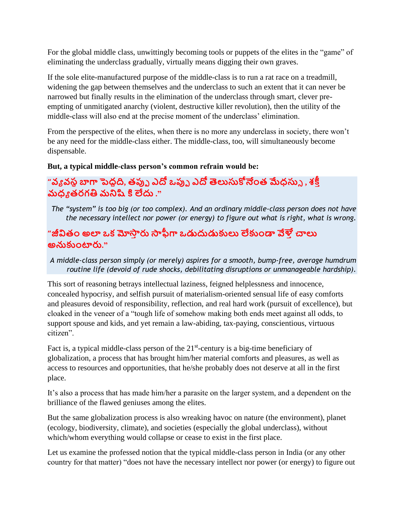For the global middle class, unwittingly becoming tools or puppets of the elites in the "game" of eliminating the underclass gradually, virtually means digging their own graves.

If the sole elite-manufactured purpose of the middle-class is to run a rat race on a treadmill, widening the gap between themselves and the underclass to such an extent that it can never be narrowed but finally results in the elimination of the underclass through smart, clever preempting of unmitigated anarchy (violent, destructive killer revolution), then the utility of the middle-class will also end at the precise moment of the underclass' elimination.

From the perspective of the elites, when there is no more any underclass in society, there won't be any need for the middle-class either. The middle-class, too, will simultaneously become dispensable.

#### **But, a typical middle-class person's common refrain would be:**

# **"వ్యవ్స్థబాగా పెద్దది, తప్పు ఎదో ఒప్పు ఎదో తెలుసుకోనేంత మేధసుు , శక్తీ మధయ తరగతి మనిషి కి లేదు ."**

*The "system" is too big (or too complex). And an ordinary middle-class person does not have the necessary intellect nor power (or energy) to figure out what is right, what is wrong.*

## **"జీవితేం అలా ఒకమోస్తీరు స్తఫీగా ఒడుదుడుకులు లేకుేండా వేళ్తీచాలు అనుకుేంటారు."**

*A middle-class person simply (or merely) aspires for a smooth, bump-free, average humdrum routine life (devoid of rude shocks, debilitating disruptions or unmanageable hardship).*

This sort of reasoning betrays intellectual laziness, feigned helplessness and innocence, concealed hypocrisy, and selfish pursuit of materialism-oriented sensual life of easy comforts and pleasures devoid of responsibility, reflection, and real hard work (pursuit of excellence), but cloaked in the veneer of a "tough life of somehow making both ends meet against all odds, to support spouse and kids, and yet remain a law-abiding, tax-paying, conscientious, virtuous citizen".

Fact is, a typical middle-class person of the  $21<sup>st</sup>$ -century is a big-time beneficiary of globalization, a process that has brought him/her material comforts and pleasures, as well as access to resources and opportunities, that he/she probably does not deserve at all in the first place.

It's also a process that has made him/her a parasite on the larger system, and a dependent on the brilliance of the flawed geniuses among the elites.

But the same globalization process is also wreaking havoc on nature (the environment), planet (ecology, biodiversity, climate), and societies (especially the global underclass), without which/whom everything would collapse or cease to exist in the first place.

Let us examine the professed notion that the typical middle-class person in India (or any other country for that matter) "does not have the necessary intellect nor power (or energy) to figure out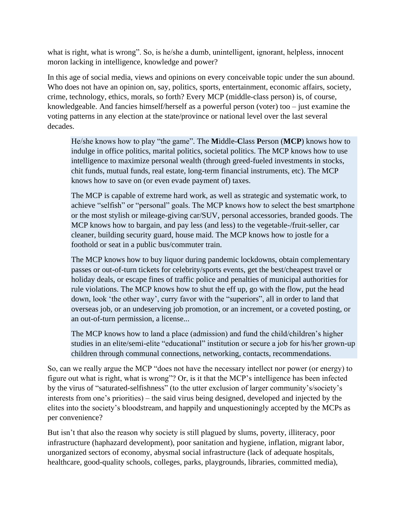what is right, what is wrong". So, is he/she a dumb, unintelligent, ignorant, helpless, innocent moron lacking in intelligence, knowledge and power?

In this age of social media, views and opinions on every conceivable topic under the sun abound. Who does not have an opinion on, say, politics, sports, entertainment, economic affairs, society, crime, technology, ethics, morals, so forth? Every MCP (middle-class person) is, of course, knowledgeable. And fancies himself/herself as a powerful person (voter) too – just examine the voting patterns in any election at the state/province or national level over the last several decades.

He/she knows how to play "the game". The **M**iddle-**C**lass **P**erson (**MCP**) knows how to indulge in office politics, marital politics, societal politics. The MCP knows how to use intelligence to maximize personal wealth (through greed-fueled investments in stocks, chit funds, mutual funds, real estate, long-term financial instruments, etc). The MCP knows how to save on (or even evade payment of) taxes.

The MCP is capable of extreme hard work, as well as strategic and systematic work, to achieve "selfish" or "personal" goals. The MCP knows how to select the best smartphone or the most stylish or mileage-giving car/SUV, personal accessories, branded goods. The MCP knows how to bargain, and pay less (and less) to the vegetable-/fruit-seller, car cleaner, building security guard, house maid. The MCP knows how to jostle for a foothold or seat in a public bus/commuter train.

The MCP knows how to buy liquor during pandemic lockdowns, obtain complementary passes or out-of-turn tickets for celebrity/sports events, get the best/cheapest travel or holiday deals, or escape fines of traffic police and penalties of municipal authorities for rule violations. The MCP knows how to shut the eff up, go with the flow, put the head down, look 'the other way', curry favor with the "superiors", all in order to land that overseas job, or an undeserving job promotion, or an increment, or a coveted posting, or an out-of-turn permission, a license...

The MCP knows how to land a place (admission) and fund the child/children's higher studies in an elite/semi-elite "educational" institution or secure a job for his/her grown-up children through communal connections, networking, contacts, recommendations.

So, can we really argue the MCP "does not have the necessary intellect nor power (or energy) to figure out what is right, what is wrong"? Or, is it that the MCP's intelligence has been infected by the virus of "saturated-selfishness" (to the utter exclusion of larger community's/society's interests from one's priorities) – the said virus being designed, developed and injected by the elites into the society's bloodstream, and happily and unquestioningly accepted by the MCPs as per convenience?

But isn't that also the reason why society is still plagued by slums, poverty, illiteracy, poor infrastructure (haphazard development), poor sanitation and hygiene, inflation, migrant labor, unorganized sectors of economy, abysmal social infrastructure (lack of adequate hospitals, healthcare, good-quality schools, colleges, parks, playgrounds, libraries, committed media),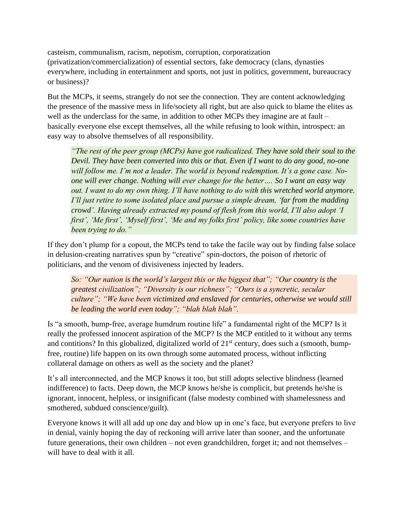casteism, communalism, racism, nepotism, corruption, corporatization (privatization/commercialization) of essential sectors, fake democracy (clans, dynasties everywhere, including in entertainment and sports, not just in politics, government, bureaucracy or business)?

But the MCPs, it seems, strangely do not see the connection. They are content acknowledging the presence of the massive mess in life/society all right, but are also quick to blame the elites as well as the underclass for the same, in addition to other MCPs they imagine are at fault – basically everyone else except themselves, all the while refusing to look within, introspect: an easy way to absolve themselves of all responsibility.

*"The rest of the peer group (MCPs) have got radicalized. They have sold their soul to the Devil. They have been converted into this or that. Even if I want to do any good, no-one will follow me. I'm not a leader. The world is beyond redemption. It's a gone case. Noone will ever change. Nothing will ever change for the better…. So I want an easy way out. I want to do my own thing. I'll have nothing to do with this wretched world anymore. I'll just retire to some isolated place and pursue a simple dream, 'far from the madding crowd'. Having already extracted my pound of flesh from this world, I'll also adopt 'I first', 'Me first', 'Myself first', 'Me and my folks first' policy, like some countries have been trying to do."*

If they don't plump for a copout, the MCPs tend to take the facile way out by finding false solace in delusion-creating narratives spun by "creative" spin-doctors, the poison of rhetoric of politicians, and the venom of divisiveness injected by leaders.

*So: "Our nation is the world's largest this or the biggest that"; "Our country is the greatest civilization"; "Diversity is our richness"; "Ours is a syncretic, secular culture"; "We have been victimized and enslaved for centuries, otherwise we would still be leading the world even today"; "blah blah blah".*

Is "a smooth, bump-free, average humdrum routine life" a fundamental right of the MCP? Is it really the professed innocent aspiration of the MCP? Is the MCP entitled to it without any terms and contitions? In this globalized, digitalized world of  $21<sup>st</sup>$  century, does such a (smooth, bumpfree, routine) life happen on its own through some automated process, without inflicting collateral damage on others as well as the society and the planet?

It's all interconnected, and the MCP knows it too, but still adopts selective blindness (learned indifference) to facts. Deep down, the MCP knows he/she is complicit, but pretends he/she is ignorant, innocent, helpless, or insignificant (false modesty combined with shamelessness and smothered, subdued conscience/guilt).

Everyone knows it will all add up one day and blow up in one's face, but everyone prefers to live in denial, vainly hoping the day of reckoning will arrive later than sooner, and the unfortunate future generations, their own children – not even grandchildren, forget it; and not themselves – will have to deal with it all.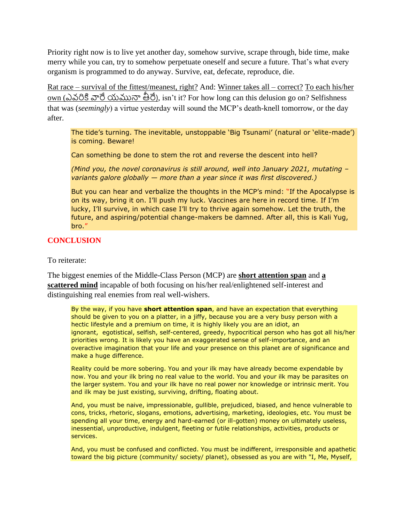Priority right now is to live yet another day, somehow survive, scrape through, bide time, make merry while you can, try to somehow perpetuate oneself and secure a future. That's what every organism is programmed to do anyway. Survive, eat, defecate, reproduce, die.

Rat race – survival of the fittest/meanest, right? And: Winner takes all – correct? To each his/her own (ఎవ్రికి వారే యమునా తీరే), isn't it? For how long can this delusion go on? Selfishness that was (*seemingly*) a virtue yesterday will sound the MCP's death-knell tomorrow, or the day after.

The tide's turning. The inevitable, unstoppable 'Big Tsunami' (natural or 'elite-made') is coming. Beware!

Can something be done to stem the rot and reverse the descent into hell?

*(Mind you, the novel coronavirus is still around, well into January 2021, mutating – variants galore globally — more than a year since it was first discovered.)*

But you can hear and verbalize the thoughts in the MCP's mind: "If the Apocalypse is on its way, bring it on. I'll push my luck. Vaccines are here in record time. If I'm lucky, I'll survive, in which case I'll try to thrive again somehow. Let the truth, the future, and aspiring/potential change-makers be damned. After all, this is Kali Yug, bro."

#### **CONCLUSION**

To reiterate:

The biggest enemies of the Middle-Class Person (MCP) are **short attention span** and **a scattered mind** incapable of both focusing on his/her real/enlightened self-interest and distinguishing real enemies from real well-wishers.

By the way, if you have **short attention span**, and have an expectation that everything should be given to you on a platter, in a jiffy, because you are a very busy person with a hectic lifestyle and a premium on time, it is highly likely you are an idiot, an ignorant, egotistical, selfish, self-centered, greedy, hypocritical person who has got all his/her priorities wrong. It is likely you have an exaggerated sense of self-importance, and an overactive imagination that your life and your presence on this planet are of significance and make a huge difference.

Reality could be more sobering. You and your ilk may have already become expendable by now. You and your ilk bring no real value to the world. You and your ilk may be parasites on the larger system. You and your ilk have no real power nor knowledge or intrinsic merit. You and ilk may be just existing, surviving, drifting, floating about.

And, you must be naive, impressionable, gullible, prejudiced, biased, and hence vulnerable to cons, tricks, rhetoric, slogans, emotions, advertising, marketing, ideologies, etc. You must be spending all your time, energy and hard-earned (or ill-gotten) money on ultimately useless, inessential, unproductive, indulgent, fleeting or futile relationships, activities, products or services.

And, you must be confused and conflicted. You must be indifferent, irresponsible and apathetic toward the big picture (community/ society/ planet), obsessed as you are with "I, Me, Myself,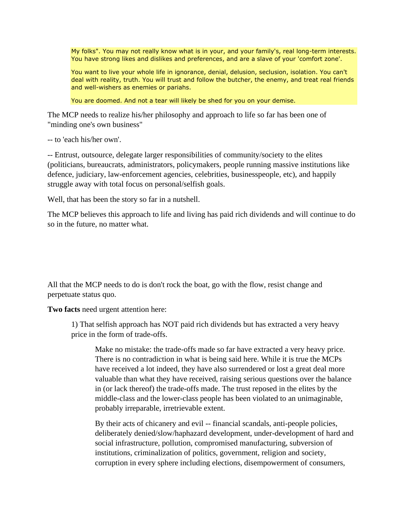My folks". You may not really know what is in your, and your family's, real long-term interests. You have strong likes and dislikes and preferences, and are a slave of your 'comfort zone'.

You want to live your whole life in ignorance, denial, delusion, seclusion, isolation. You can't deal with reality, truth. You will trust and follow the butcher, the enemy, and treat real friends and well-wishers as enemies or pariahs.

You are doomed. And not a tear will likely be shed for you on your demise.

The MCP needs to realize his/her philosophy and approach to life so far has been one of "minding one's own business"

-- to 'each his/her own'.

-- Entrust, outsource, delegate larger responsibilities of community/society to the elites (politicians, bureaucrats, administrators, policymakers, people running massive institutions like defence, judiciary, law-enforcement agencies, celebrities, businesspeople, etc), and happily struggle away with total focus on personal/selfish goals.

Well, that has been the story so far in a nutshell.

The MCP believes this approach to life and living has paid rich dividends and will continue to do so in the future, no matter what.

All that the MCP needs to do is don't rock the boat, go with the flow, resist change and perpetuate status quo.

**Two facts** need urgent attention here:

1) That selfish approach has NOT paid rich dividends but has extracted a very heavy price in the form of trade-offs.

Make no mistake: the trade-offs made so far have extracted a very heavy price. There is no contradiction in what is being said here. While it is true the MCPs have received a lot indeed, they have also surrendered or lost a great deal more valuable than what they have received, raising serious questions over the balance in (or lack thereof) the trade-offs made. The trust reposed in the elites by the middle-class and the lower-class people has been violated to an unimaginable, probably irreparable, irretrievable extent.

By their acts of chicanery and evil -- financial scandals, anti-people policies, deliberately denied/slow/haphazard development, under-development of hard and social infrastructure, pollution, compromised manufacturing, subversion of institutions, criminalization of politics, government, religion and society, corruption in every sphere including elections, disempowerment of consumers,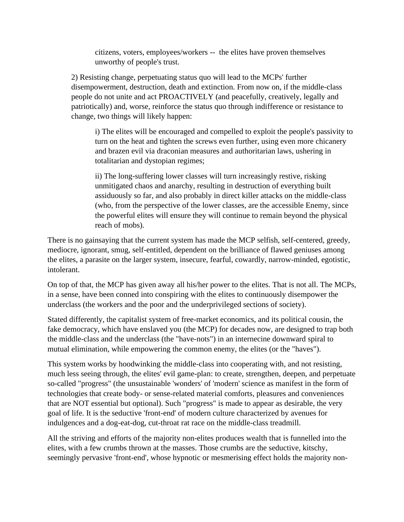citizens, voters, employees/workers -- the elites have proven themselves unworthy of people's trust.

2) Resisting change, perpetuating status quo will lead to the MCPs' further disempowerment, destruction, death and extinction. From now on, if the middle-class people do not unite and act PROACTIVELY (and peacefully, creatively, legally and patriotically) and, worse, reinforce the status quo through indifference or resistance to change, two things will likely happen:

i) The elites will be encouraged and compelled to exploit the people's passivity to turn on the heat and tighten the screws even further, using even more chicanery and brazen evil via draconian measures and authoritarian laws, ushering in totalitarian and dystopian regimes;

ii) The long-suffering lower classes will turn increasingly restive, risking unmitigated chaos and anarchy, resulting in destruction of everything built assiduously so far, and also probably in direct killer attacks on the middle-class (who, from the perspective of the lower classes, are the accessible Enemy, since the powerful elites will ensure they will continue to remain beyond the physical reach of mobs).

There is no gainsaying that the current system has made the MCP selfish, self-centered, greedy, mediocre, ignorant, smug, self-entitled, dependent on the brilliance of flawed geniuses among the elites, a parasite on the larger system, insecure, fearful, cowardly, narrow-minded, egotistic, intolerant.

On top of that, the MCP has given away all his/her power to the elites. That is not all. The MCPs, in a sense, have been conned into conspiring with the elites to continuously disempower the underclass (the workers and the poor and the underprivileged sections of society).

Stated differently, the capitalist system of free-market economics, and its political cousin, the fake democracy, which have enslaved you (the MCP) for decades now, are designed to trap both the middle-class and the underclass (the "have-nots") in an internecine downward spiral to mutual elimination, while empowering the common enemy, the elites (or the "haves").

This system works by hoodwinking the middle-class into cooperating with, and not resisting, much less seeing through, the elites' evil game-plan: to create, strengthen, deepen, and perpetuate so-called "progress" (the unsustainable 'wonders' of 'modern' science as manifest in the form of technologies that create body- or sense-related material comforts, pleasures and conveniences that are NOT essential but optional). Such "progress" is made to appear as desirable, the very goal of life. It is the seductive 'front-end' of modern culture characterized by avenues for indulgences and a dog-eat-dog, cut-throat rat race on the middle-class treadmill.

All the striving and efforts of the majority non-elites produces wealth that is funnelled into the elites, with a few crumbs thrown at the masses. Those crumbs are the seductive, kitschy, seemingly pervasive 'front-end', whose hypnotic or mesmerising effect holds the majority non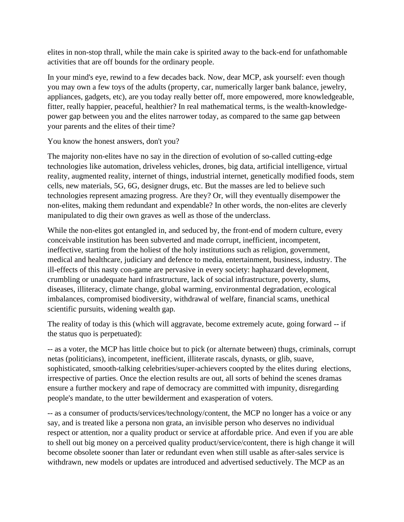elites in non-stop thrall, while the main cake is spirited away to the back-end for unfathomable activities that are off bounds for the ordinary people.

In your mind's eye, rewind to a few decades back. Now, dear MCP, ask yourself: even though you may own a few toys of the adults (property, car, numerically larger bank balance, jewelry, appliances, gadgets, etc), are you today really better off, more empowered, more knowledgeable, fitter, really happier, peaceful, healthier? In real mathematical terms, is the wealth-knowledgepower gap between you and the elites narrower today, as compared to the same gap between your parents and the elites of their time?

You know the honest answers, don't you?

The majority non-elites have no say in the direction of evolution of so-called cutting-edge technologies like automation, driveless vehicles, drones, big data, artificial intelligence, virtual reality, augmented reality, internet of things, industrial internet, genetically modified foods, stem cells, new materials, 5G, 6G, designer drugs, etc. But the masses are led to believe such technologies represent amazing progress. Are they? Or, will they eventually disempower the non-elites, making them redundant and expendable? In other words, the non-elites are cleverly manipulated to dig their own graves as well as those of the underclass.

While the non-elites got entangled in, and seduced by, the front-end of modern culture, every conceivable institution has been subverted and made corrupt, inefficient, incompetent, ineffective, starting from the holiest of the holy institutions such as religion, government, medical and healthcare, judiciary and defence to media, entertainment, business, industry. The ill-effects of this nasty con-game are pervasive in every society: haphazard development, crumbling or unadequate hard infrastructure, lack of social infrastructure, poverty, slums, diseases, illiteracy, climate change, global warming, environmental degradation, ecological imbalances, compromised biodiversity, withdrawal of welfare, financial scams, unethical scientific pursuits, widening wealth gap.

The reality of today is this (which will aggravate, become extremely acute, going forward -- if the status quo is perpetuated):

-- as a voter, the MCP has little choice but to pick (or alternate between) thugs, criminals, corrupt netas (politicians), incompetent, inefficient, illiterate rascals, dynasts, or glib, suave, sophisticated, smooth-talking celebrities/super-achievers coopted by the elites during elections, irrespective of parties. Once the election results are out, all sorts of behind the scenes dramas ensure a further mockery and rape of democracy are committed with impunity, disregarding people's mandate, to the utter bewilderment and exasperation of voters.

-- as a consumer of products/services/technology/content, the MCP no longer has a voice or any say, and is treated like a persona non grata, an invisible person who deserves no individual respect or attention, nor a quality product or service at affordable price. And even if you are able to shell out big money on a perceived quality product/service/content, there is high change it will become obsolete sooner than later or redundant even when still usable as after-sales service is withdrawn, new models or updates are introduced and advertised seductively. The MCP as an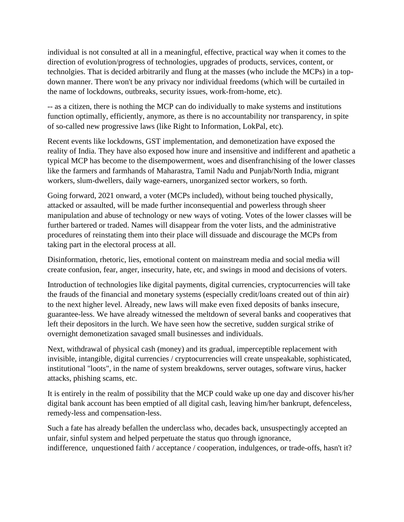individual is not consulted at all in a meaningful, effective, practical way when it comes to the direction of evolution/progress of technologies, upgrades of products, services, content, or technolgies. That is decided arbitrarily and flung at the masses (who include the MCPs) in a topdown manner. There won't be any privacy nor individual freedoms (which will be curtailed in the name of lockdowns, outbreaks, security issues, work-from-home, etc).

-- as a citizen, there is nothing the MCP can do individually to make systems and institutions function optimally, efficiently, anymore, as there is no accountability nor transparency, in spite of so-called new progressive laws (like Right to Information, LokPal, etc).

Recent events like lockdowns, GST implementation, and demonetization have exposed the reality of India. They have also exposed how inure and insensitive and indifferent and apathetic a typical MCP has become to the disempowerment, woes and disenfranchising of the lower classes like the farmers and farmhands of Maharastra, Tamil Nadu and Punjab/North India, migrant workers, slum-dwellers, daily wage-earners, unorganized sector workers, so forth.

Going forward, 2021 onward, a voter (MCPs included), without being touched physically, attacked or assaulted, will be made further inconsequential and powerless through sheer manipulation and abuse of technology or new ways of voting. Votes of the lower classes will be further bartered or traded. Names will disappear from the voter lists, and the administrative procedures of reinstating them into their place will dissuade and discourage the MCPs from taking part in the electoral process at all.

Disinformation, rhetoric, lies, emotional content on mainstream media and social media will create confusion, fear, anger, insecurity, hate, etc, and swings in mood and decisions of voters.

Introduction of technologies like digital payments, digital currencies, cryptocurrencies will take the frauds of the financial and monetary systems (especially credit/loans created out of thin air) to the next higher level. Already, new laws will make even fixed deposits of banks insecure, guarantee-less. We have already witnessed the meltdown of several banks and cooperatives that left their depositors in the lurch. We have seen how the secretive, sudden surgical strike of overnight demonetization savaged small businesses and individuals.

Next, withdrawal of physical cash (money) and its gradual, imperceptible replacement with invisible, intangible, digital currencies / cryptocurrencies will create unspeakable, sophisticated, institutional "loots", in the name of system breakdowns, server outages, software virus, hacker attacks, phishing scams, etc.

It is entirely in the realm of possibility that the MCP could wake up one day and discover his/her digital bank account has been emptied of all digital cash, leaving him/her bankrupt, defenceless, remedy-less and compensation-less.

Such a fate has already befallen the underclass who, decades back, unsuspectingly accepted an unfair, sinful system and helped perpetuate the status quo through ignorance, indifference, unquestioned faith / acceptance / cooperation, indulgences, or trade-offs, hasn't it?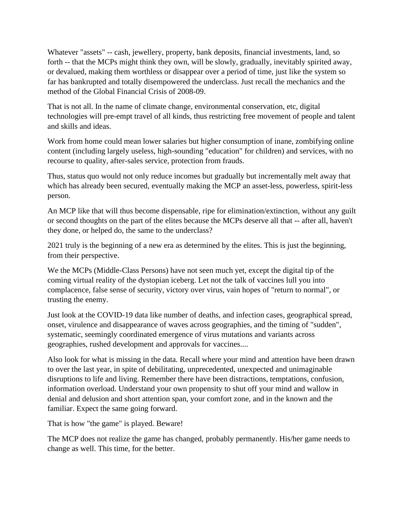Whatever "assets" -- cash, jewellery, property, bank deposits, financial investments, land, so forth -- that the MCPs might think they own, will be slowly, gradually, inevitably spirited away, or devalued, making them worthless or disappear over a period of time, just like the system so far has bankrupted and totally disempowered the underclass. Just recall the mechanics and the method of the Global Financial Crisis of 2008-09.

That is not all. In the name of climate change, environmental conservation, etc, digital technologies will pre-empt travel of all kinds, thus restricting free movement of people and talent and skills and ideas.

Work from home could mean lower salaries but higher consumption of inane, zombifying online content (including largely useless, high-sounding "education" for children) and services, with no recourse to quality, after-sales service, protection from frauds.

Thus, status quo would not only reduce incomes but gradually but incrementally melt away that which has already been secured, eventually making the MCP an asset-less, powerless, spirit-less person.

An MCP like that will thus become dispensable, ripe for elimination/extinction, without any guilt or second thoughts on the part of the elites because the MCPs deserve all that -- after all, haven't they done, or helped do, the same to the underclass?

2021 truly is the beginning of a new era as determined by the elites. This is just the beginning, from their perspective.

We the MCPs (Middle-Class Persons) have not seen much yet, except the digital tip of the coming virtual reality of the dystopian iceberg. Let not the talk of vaccines lull you into complacence, false sense of security, victory over virus, vain hopes of "return to normal", or trusting the enemy.

Just look at the COVID-19 data like number of deaths, and infection cases, geographical spread, onset, virulence and disappearance of waves across geographies, and the timing of "sudden", systematic, seemingly coordinated emergence of virus mutations and variants across geographies, rushed development and approvals for vaccines....

Also look for what is missing in the data. Recall where your mind and attention have been drawn to over the last year, in spite of debilitating, unprecedented, unexpected and unimaginable disruptions to life and living. Remember there have been distractions, temptations, confusion, information overload. Understand your own propensity to shut off your mind and wallow in denial and delusion and short attention span, your comfort zone, and in the known and the familiar. Expect the same going forward.

That is how "the game" is played. Beware!

The MCP does not realize the game has changed, probably permanently. His/her game needs to change as well. This time, for the better.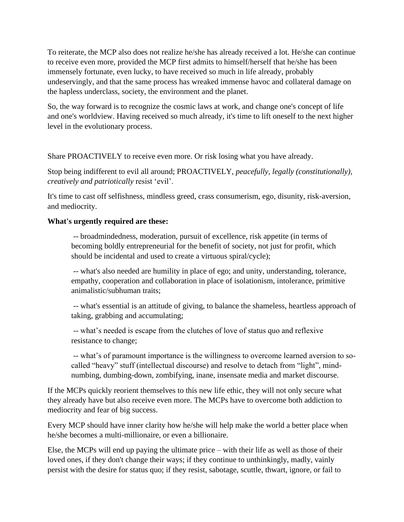To reiterate, the MCP also does not realize he/she has already received a lot. He/she can continue to receive even more, provided the MCP first admits to himself/herself that he/she has been immensely fortunate, even lucky, to have received so much in life already, probably undeservingly, and that the same process has wreaked immense havoc and collateral damage on the hapless underclass, society, the environment and the planet.

So, the way forward is to recognize the cosmic laws at work, and change one's concept of life and one's worldview. Having received so much already, it's time to lift oneself to the next higher level in the evolutionary process.

Share PROACTIVELY to receive even more. Or risk losing what you have already.

Stop being indifferent to evil all around; PROACTIVELY, *peacefully, legally (constitutionally), creatively and patriotically* resist 'evil'.

It's time to cast off selfishness, mindless greed, crass consumerism, ego, disunity, risk-aversion, and mediocrity.

#### **What's urgently required are these:**

-- broadmindedness, moderation, pursuit of excellence, risk appetite (in terms of becoming boldly entrepreneurial for the benefit of society, not just for profit, which should be incidental and used to create a virtuous spiral/cycle);

-- what's also needed are humility in place of ego; and unity, understanding, tolerance, empathy, cooperation and collaboration in place of isolationism, intolerance, primitive animalistic/subhuman traits;

-- what's essential is an attitude of giving, to balance the shameless, heartless approach of taking, grabbing and accumulating;

-- what's needed is escape from the clutches of love of status quo and reflexive resistance to change;

-- what's of paramount importance is the willingness to overcome learned aversion to socalled "heavy" stuff (intellectual discourse) and resolve to detach from "light", mindnumbing, dumbing-down, zombifying, inane, insensate media and market discourse.

If the MCPs quickly reorient themselves to this new life ethic, they will not only secure what they already have but also receive even more. The MCPs have to overcome both addiction to mediocrity and fear of big success.

Every MCP should have inner clarity how he/she will help make the world a better place when he/she becomes a multi-millionaire, or even a billionaire.

Else, the MCPs will end up paying the ultimate price – with their life as well as those of their loved ones, if they don't change their ways; if they continue to unthinkingly, madly, vainly persist with the desire for status quo; if they resist, sabotage, scuttle, thwart, ignore, or fail to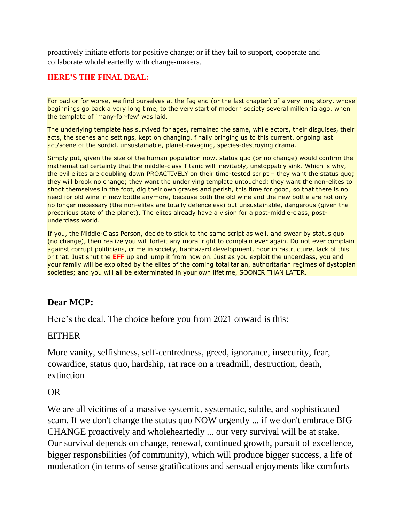proactively initiate efforts for positive change; or if they fail to support, cooperate and collaborate wholeheartedly with change-makers.

#### **HERE'S THE FINAL DEAL:**

For bad or for worse, we find ourselves at the fag end (or the last chapter) of a very long story, whose beginnings go back a very long time, to the very start of modern society several millennia ago, when the template of 'many-for-few' was laid.

The underlying template has survived for ages, remained the same, while actors, their disguises, their acts, the scenes and settings, kept on changing, finally bringing us to this current, ongoing last act/scene of the sordid, unsustainable, planet-ravaging, species-destroying drama.

Simply put, given the size of the human population now, status quo (or no change) would confirm the mathematical certainty that the middle-class Titanic will inevitably, unstoppably sink. Which is why, the evil elites are doubling down PROACTIVELY on their time-tested script – they want the status quo; they will brook no change; they want the underlying template untouched; they want the non-elites to shoot themselves in the foot, dig their own graves and perish, this time for good, so that there is no need for old wine in new bottle anymore, because both the old wine and the new bottle are not only no longer necessary (the non-elites are totally defenceless) but unsustainable, dangerous (given the precarious state of the planet). The elites already have a vision for a post-middle-class, postunderclass world.

If you, the Middle-Class Person, decide to stick to the same script as well, and swear by status quo (no change), then realize you will forfeit any moral right to complain ever again. Do not ever complain against corrupt politicians, crime in society, haphazard development, poor infrastructure, lack of this or that. Just shut the **EFF** up and lump it from now on. Just as you exploit the underclass, you and your family will be exploited by the elites of the coming totalitarian, authoritarian regimes of dystopian societies; and you will all be exterminated in your own lifetime, SOONER THAN LATER.

## **Dear MCP:**

Here's the deal. The choice before you from 2021 onward is this:

## EITHER

More vanity, selfishness, self-centredness, greed, ignorance, insecurity, fear, cowardice, status quo, hardship, rat race on a treadmill, destruction, death, extinction

## OR

We are all vicitims of a massive systemic, systematic, subtle, and sophisticated scam. If we don't change the status quo NOW urgently ... if we don't embrace BIG CHANGE proactively and wholeheartedly ... our very survival will be at stake. Our survival depends on change, renewal, continued growth, pursuit of excellence, bigger responsbilities (of community), which will produce bigger success, a life of moderation (in terms of sense gratifications and sensual enjoyments like comforts